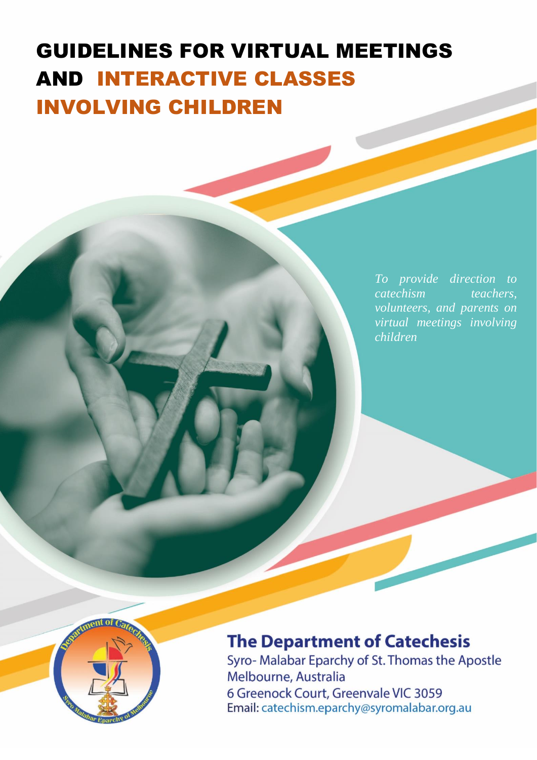# INVOLVING CHILDRENGUIDELINES FOR VIRTUAL MEETINGS AND INTERACTIVE CLASSES

*To provide direction to catechism teachers, volunteers, and parents on virtual meetings involving children*



## **The Department of Catechesis**

Syro- Malabar Eparchy of St. Thomas the Apostle Melbourne, Australia 6 Greenock Court, Greenvale VIC 3059 Email: catechism.eparchy@syromalabar.org.au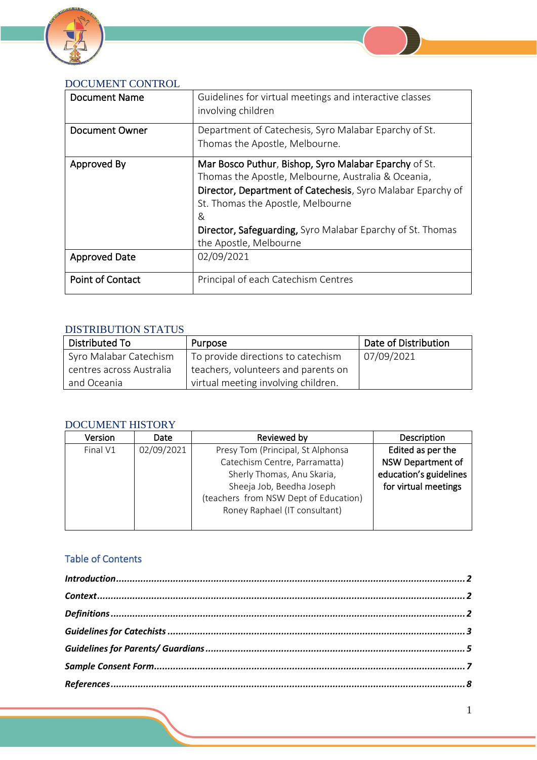



| <b>Document Name</b>  | Guidelines for virtual meetings and interactive classes<br>involving children                                                                                                                                                                                                                                 |
|-----------------------|---------------------------------------------------------------------------------------------------------------------------------------------------------------------------------------------------------------------------------------------------------------------------------------------------------------|
| <b>Document Owner</b> | Department of Catechesis, Syro Malabar Eparchy of St.<br>Thomas the Apostle, Melbourne.                                                                                                                                                                                                                       |
| Approved By           | Mar Bosco Puthur, Bishop, Syro Malabar Eparchy of St.<br>Thomas the Apostle, Melbourne, Australia & Oceania,<br>Director, Department of Catechesis, Syro Malabar Eparchy of<br>St. Thomas the Apostle, Melbourne<br>&<br>Director, Safeguarding, Syro Malabar Eparchy of St. Thomas<br>the Apostle, Melbourne |
| <b>Approved Date</b>  | 02/09/2021                                                                                                                                                                                                                                                                                                    |
| Point of Contact      | Principal of each Catechism Centres                                                                                                                                                                                                                                                                           |

#### DISTRIBUTION STATUS

| Distributed To           | Purpose                             | Date of Distribution |
|--------------------------|-------------------------------------|----------------------|
| Syro Malabar Catechism   | To provide directions to catechism  | 07/09/2021           |
| centres across Australia | teachers, volunteers and parents on |                      |
| and Oceania              | virtual meeting involving children. |                      |

#### DOCUMENT HISTORY

| Version  | Date       | Reviewed by                           | Description              |
|----------|------------|---------------------------------------|--------------------------|
| Final V1 | 02/09/2021 | Presy Tom (Principal, St Alphonsa     | Edited as per the        |
|          |            | Catechism Centre, Parramatta)         | <b>NSW Department of</b> |
|          |            | Sherly Thomas, Anu Skaria,            | education's guidelines   |
|          |            | Sheeja Job, Beedha Joseph             | for virtual meetings     |
|          |            | (teachers from NSW Dept of Education) |                          |
|          |            | Roney Raphael (IT consultant)         |                          |
|          |            |                                       |                          |

#### Table of Contents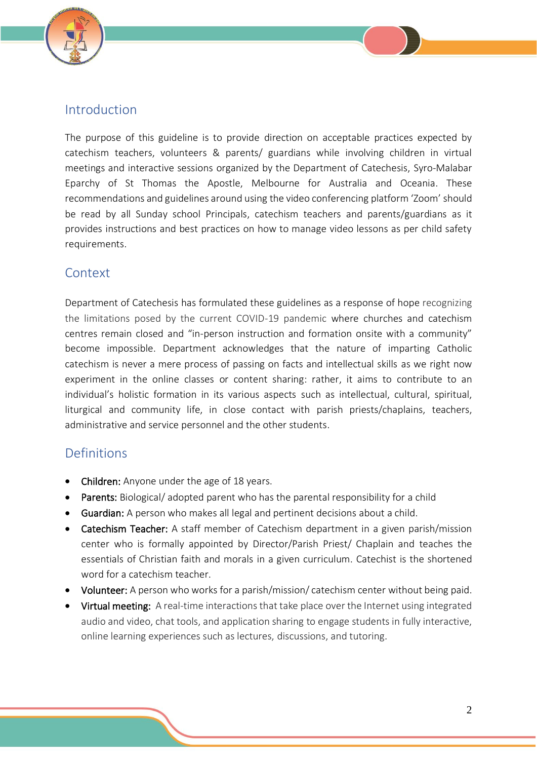

## <span id="page-2-0"></span>Introduction

The purpose of this guideline is to provide direction on acceptable practices expected by catechism teachers, volunteers & parents/ guardians while involving children in virtual meetings and interactive sessions organized by the Department of Catechesis, Syro-Malabar Eparchy of St Thomas the Apostle, Melbourne for Australia and Oceania. These recommendations and guidelines around using the video conferencing platform 'Zoom' should be read by all Sunday school Principals, catechism teachers and parents/guardians as it provides instructions and best practices on how to manage video lessons as per child safety requirements.

## <span id="page-2-1"></span>Context

Department of Catechesis has formulated these guidelines as a response of hope recognizing the limitations posed by the current COVID-19 pandemic where churches and catechism centres remain closed and "in-person instruction and formation onsite with a community" become impossible. Department acknowledges that the nature of imparting Catholic catechism is never a mere process of passing on facts and intellectual skills as we right now experiment in the online classes or content sharing: rather, it aims to contribute to an individual's holistic formation in its various aspects such as intellectual, cultural, spiritual, liturgical and community life, in close contact with parish priests/chaplains, teachers, administrative and service personnel and the other students.

## <span id="page-2-2"></span>Definitions

- Children: Anyone under the age of 18 years.
- Parents: Biological/ adopted parent who has the parental responsibility for a child
- Guardian: A person who makes all legal and pertinent decisions about a child.
- Catechism Teacher: A staff member of Catechism department in a given parish/mission center who is formally appointed by Director/Parish Priest/ Chaplain and teaches the essentials of Christian faith and morals in a given curriculum. Catechist is the shortened word for a catechism teacher.
- Volunteer: A person who works for a parish/mission/ catechism center without being paid.
- Virtual meeting: A real-time interactions that take place over the Internet using integrated audio and video, chat tools, and application sharing to engage students in fully interactive, online learning experiences such as lectures, discussions, and tutoring.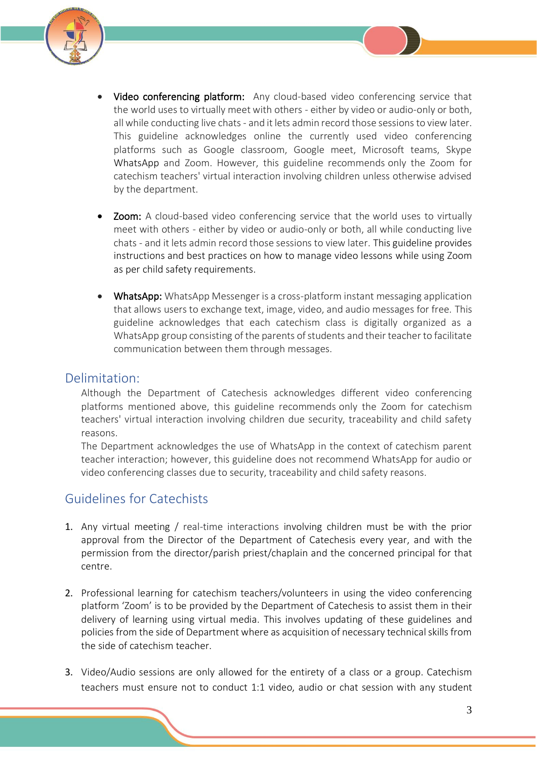

- <span id="page-3-0"></span>• Video conferencing platform: Any cloud-based video conferencing service that the world uses to virtually meet with others - either by video or audio-only or both, all while conducting live chats - and it lets admin record those sessions to view later. This guideline acknowledges online the currently used video conferencing platforms such as Google classroom, Google meet, Microsoft teams, Skype WhatsApp and Zoom. However, this guideline recommends only the Zoom for catechism teachers' virtual interaction involving children unless otherwise advised by the department.
- **Zoom:** A cloud-based video conferencing service that the world uses to virtually meet with others - either by video or audio-only or both, all while conducting live chats - and it lets admin record those sessions to view later. This guideline provides instructions and best practices on how to manage video lessons while using Zoom as per child safety requirements.
- WhatsApp: WhatsApp Messenger is a cross-platform instant messaging application that allows users to exchange text, image, video, and audio messages for free. This guideline acknowledges that each catechism class is digitally organized as a WhatsApp group consisting of the parents of students and their teacher to facilitate communication between them through messages.

### Delimitation:

Although the Department of Catechesis acknowledges different video conferencing platforms mentioned above, this guideline recommends only the Zoom for catechism teachers' virtual interaction involving children due security, traceability and child safety reasons.

The Department acknowledges the use of WhatsApp in the context of catechism parent teacher interaction; however, this guideline does not recommend WhatsApp for audio or video conferencing classes due to security, traceability and child safety reasons.

## Guidelines for Catechists

- 1. Any virtual meeting / real-time interactions involving children must be with the prior approval from the Director of the Department of Catechesis every year, and with the permission from the director/parish priest/chaplain and the concerned principal for that centre.
- 2. Professional learning for catechism teachers/volunteers in using the video conferencing platform 'Zoom' is to be provided by the Department of Catechesis to assist them in their delivery of learning using virtual media. This involves updating of these guidelines and policies from the side of Department where as acquisition of necessary technical skills from the side of catechism teacher.
- 3. Video/Audio sessions are only allowed for the entirety of a class or a group. Catechism teachers must ensure not to conduct 1:1 video, audio or chat session with any student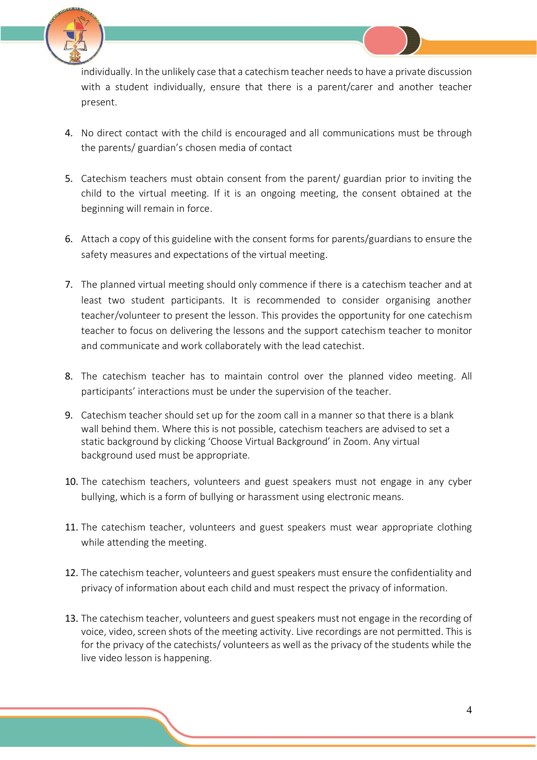

individually. In the unlikely case that a catechism teacher needs to have a private discussion with a student individually, ensure that there is a parent/carer and another teacher present.

- 4. No direct contact with the child is encouraged and all communications must be through the parents/ guardian's chosen media of contact
- 5. Catechism teachers must obtain consent from the parent/ guardian prior to inviting the child to the virtual meeting. If it is an ongoing meeting, the consent obtained at the beginning will remain in force.
- 6. Attach a copy of this guideline with the consent forms for parents/guardians to ensure the safety measures and expectations of the virtual meeting.
- 7. The planned virtual meeting should only commence if there is a catechism teacher and at least two student participants. It is recommended to consider organising another teacher/volunteer to present the lesson. This provides the opportunity for one catechism teacher to focus on delivering the lessons and the support catechism teacher to monitor and communicate and work collaborately with the lead catechist.
- 8. The catechism teacher has to maintain control over the planned video meeting. All participants' interactions must be under the supervision of the teacher.
- 9. Catechism teacher should set up for the zoom call in a manner so that there is a blank wall behind them. Where this is not possible, catechism teachers are advised to set a static background by clicking 'Choose Virtual Background' in Zoom. Any virtual background used must be appropriate.
- 10. The catechism teachers, volunteers and guest speakers must not engage in any cyber bullying, which is a form of bullying or harassment using electronic means.
- 11. The catechism teacher, volunteers and guest speakers must wear appropriate clothing while attending the meeting.
- 12. The catechism teacher, volunteers and guest speakers must ensure the confidentiality and privacy of information about each child and must respect the privacy of information.
- 13. The catechism teacher, volunteers and guest speakers must not engage in the recording of voice, video, screen shots of the meeting activity. Live recordings are not permitted. This is for the privacy of the catechists/ volunteers as well as the privacy of the students while the live video lesson is happening.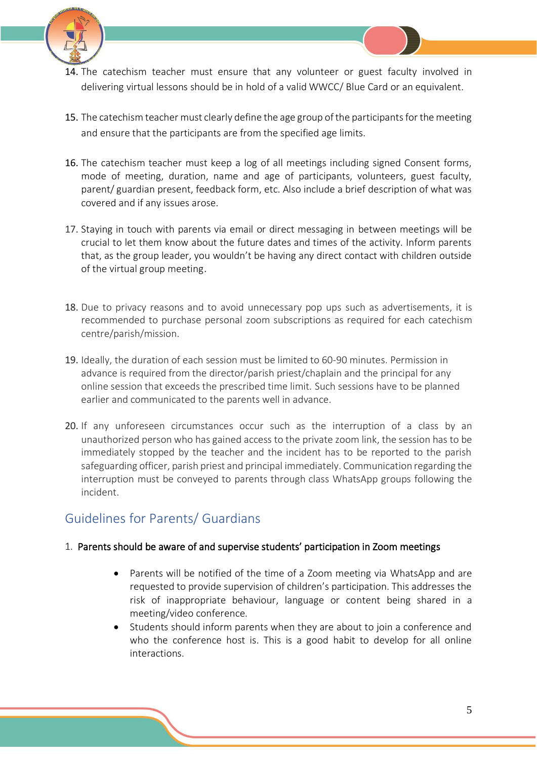

- 14. The catechism teacher must ensure that any volunteer or guest faculty involved in delivering virtual lessons should be in hold of a valid WWCC/ Blue Card or an equivalent.
- 15. The catechism teacher must clearly define the age group of the participants for the meeting and ensure that the participants are from the specified age limits.
- 16. The catechism teacher must keep a log of all meetings including signed Consent forms, mode of meeting, duration, name and age of participants, volunteers, guest faculty, parent/ guardian present, feedback form, etc. Also include a brief description of what was covered and if any issues arose.
- 17. Staying in touch with parents via email or direct messaging in between meetings will be crucial to let them know about the future dates and times of the activity. Inform parents that, as the group leader, you wouldn't be having any direct contact with children outside of the virtual group meeting.
- 18. Due to privacy reasons and to avoid unnecessary pop ups such as advertisements, it is recommended to purchase personal zoom subscriptions as required for each catechism centre/parish/mission.
- 19. Ideally, the duration of each session must be limited to 60-90 minutes. Permission in advance is required from the director/parish priest/chaplain and the principal for any online session that exceeds the prescribed time limit. Such sessions have to be planned earlier and communicated to the parents well in advance.
- 20. If any unforeseen circumstances occur such as the interruption of a class by an unauthorized person who has gained access to the private zoom link, the session has to be immediately stopped by the teacher and the incident has to be reported to the parish safeguarding officer, parish priest and principal immediately. Communication regarding the interruption must be conveyed to parents through class WhatsApp groups following the incident.

## <span id="page-5-0"></span>Guidelines for Parents/ Guardians

#### 1. Parents should be aware of and supervise students' participation in Zoom meetings

- Parents will be notified of the time of a Zoom meeting via WhatsApp and are requested to provide supervision of children's participation. This addresses the risk of inappropriate behaviour, language or content being shared in a meeting/video conference.
- Students should inform parents when they are about to join a conference and who the conference host is. This is a good habit to develop for all online interactions.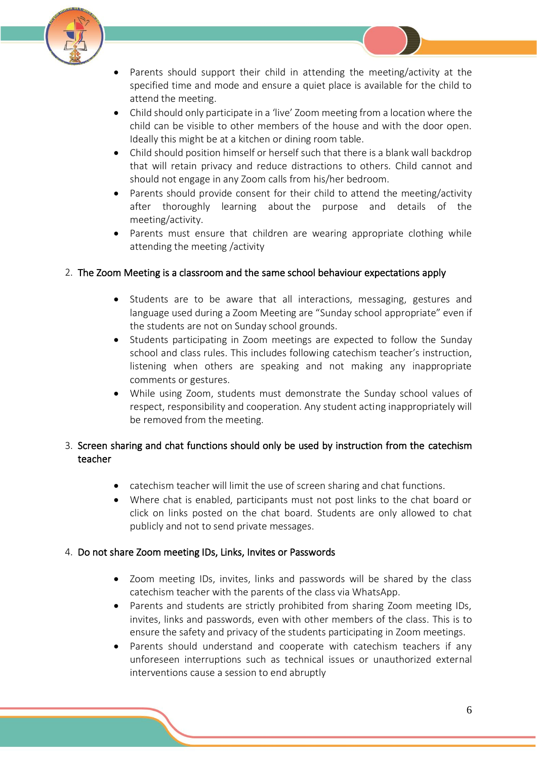

- Parents should support their child in attending the meeting/activity at the specified time and mode and ensure a quiet place is available for the child to attend the meeting.
- Child should only participate in a 'live' Zoom meeting from a location where the child can be visible to other members of the house and with the door open. Ideally this might be at a kitchen or dining room table.
- Child should position himself or herself such that there is a blank wall backdrop that will retain privacy and reduce distractions to others. Child cannot and should not engage in any Zoom calls from his/her bedroom.
- Parents should provide consent for their child to attend the meeting/activity after thoroughly learning about the purpose and details of the meeting/activity.
- Parents must ensure that children are wearing appropriate clothing while attending the meeting /activity

#### 2. The Zoom Meeting is a classroom and the same school behaviour expectations apply

- Students are to be aware that all interactions, messaging, gestures and language used during a Zoom Meeting are "Sunday school appropriate" even if the students are not on Sunday school grounds.
- Students participating in Zoom meetings are expected to follow the Sunday school and class rules. This includes following catechism teacher's instruction, listening when others are speaking and not making any inappropriate comments or gestures.
- While using Zoom, students must demonstrate the Sunday school values of respect, responsibility and cooperation. Any student acting inappropriately will be removed from the meeting.

#### 3. Screen sharing and chat functions should only be used by instruction from the catechism teacher

- catechism teacher will limit the use of screen sharing and chat functions.
- Where chat is enabled, participants must not post links to the chat board or click on links posted on the chat board. Students are only allowed to chat publicly and not to send private messages.

#### 4. Do not share Zoom meeting IDs, Links, Invites or Passwords

- Zoom meeting IDs, invites, links and passwords will be shared by the class catechism teacher with the parents of the class via WhatsApp.
- Parents and students are strictly prohibited from sharing Zoom meeting IDs, invites, links and passwords, even with other members of the class. This is to ensure the safety and privacy of the students participating in Zoom meetings.
- Parents should understand and cooperate with catechism teachers if any unforeseen interruptions such as technical issues or unauthorized external interventions cause a session to end abruptly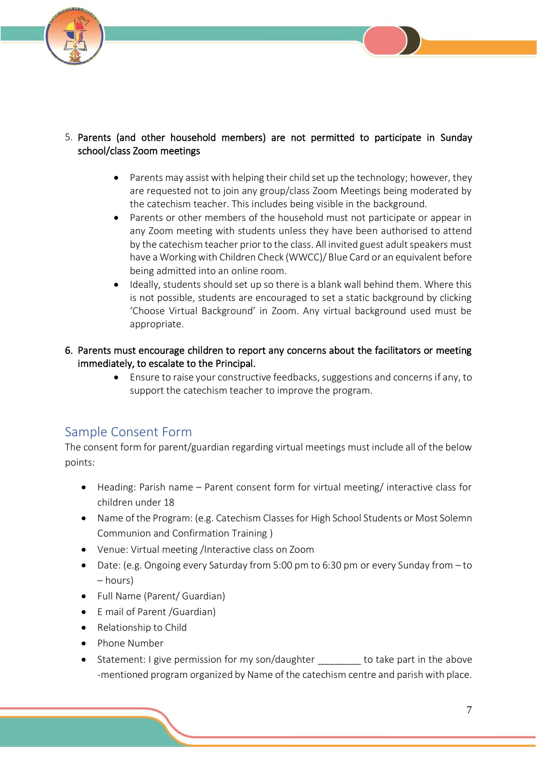



- Parents may assist with helping their child set up the technology; however, they are requested not to join any group/class Zoom Meetings being moderated by the catechism teacher. This includes being visible in the background.
- Parents or other members of the household must not participate or appear in any Zoom meeting with students unless they have been authorised to attend by the catechism teacher prior to the class. All invited guest adult speakers must have a Working with Children Check (WWCC)/ Blue Card or an equivalent before being admitted into an online room.
- Ideally, students should set up so there is a blank wall behind them. Where this is not possible, students are encouraged to set a static background by clicking 'Choose Virtual Background' in Zoom. Any virtual background used must be appropriate.
- 6. Parents must encourage children to report any concerns about the facilitators or meeting immediately, to escalate to the Principal.
	- Ensure to raise your constructive feedbacks, suggestions and concerns if any, to support the catechism teacher to improve the program.

## <span id="page-7-0"></span>Sample Consent Form

The consent form for parent/guardian regarding virtual meetings must include all of the below points:

- Heading: Parish name Parent consent form for virtual meeting/ interactive class for children under 18
- Name of the Program: (e.g. Catechism Classes for High School Students or Most Solemn Communion and Confirmation Training )
- Venue: Virtual meeting /Interactive class on Zoom
- Date: (e.g. Ongoing every Saturday from 5:00 pm to 6:30 pm or every Sunday from to – hours)
- Full Name (Parent/ Guardian)
- E mail of Parent /Guardian)
- Relationship to Child
- Phone Number
- Statement: I give permission for my son/daughter to take part in the above -mentioned program organized by Name of the catechism centre and parish with place.